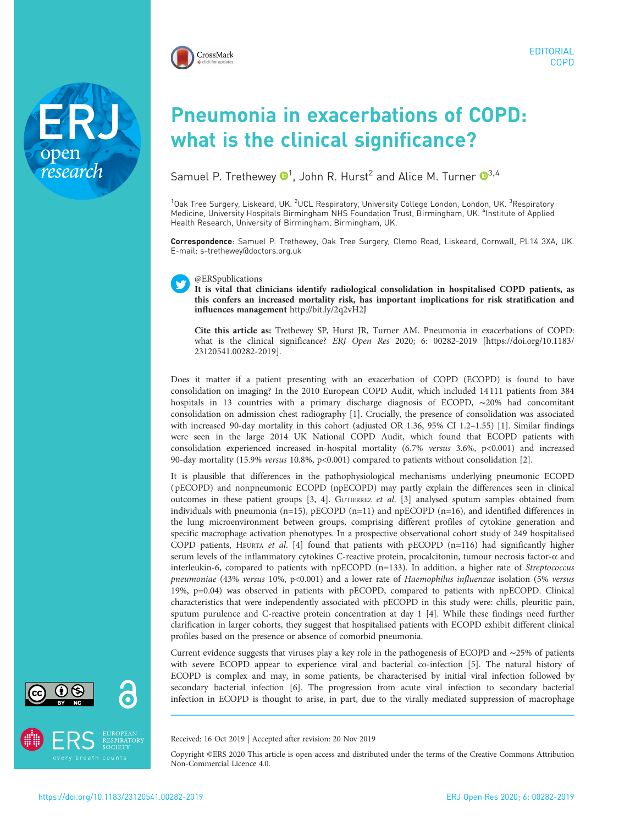

## Pneumonia in exacerbations of COPD: what is the clinical significance?

Samuel P. Trethewey  $\mathbf{D}^1$ , John R. Hurst $^2$  and Alice M. Turner  $\mathbf{D}^{3,4}$  $\mathbf{D}^{3,4}$  $\mathbf{D}^{3,4}$ 

<sup>1</sup>Oak Tree Surgery, Liskeard, UK. <sup>2</sup>UCL Respiratory, University College London, London, UK. <sup>3</sup>Respiratory Medicine, University Hospitals Birmingham NHS Foundation Trust, Birmingham, UK. <sup>4</sup>Institute of Applied Health Research, University of Birmingham, Birmingham, UK.

Correspondence: Samuel P. Trethewey, Oak Tree Surgery, Clemo Road, Liskeard, Cornwall, PL14 3XA, UK. E-mail: [s-trethewey@doctors.org.uk](mailto:s-trethewey@doctors.org.uk)

## @ERSpublications

It is vital that clinicians identify radiological consolidation in hospitalised COPD patients, as this confers an increased mortality risk, has important implications for risk stratification and influences management <http://bit.ly/2q2vH2J>

Cite this article as: Trethewey SP, Hurst JR, Turner AM. Pneumonia in exacerbations of COPD: what is the clinical significance? ERJ Open Res 2020; 6: 00282-2019 [\[https://doi.org/10.1183/](https://doi.org/10.1183/23120541.00282-2019) [23120541.00282-2019\].](https://doi.org/10.1183/23120541.00282-2019)

Does it matter if a patient presenting with an exacerbation of COPD (ECOPD) is found to have consolidation on imaging? In the 2010 European COPD Audit, which included 14 111 patients from 384 hospitals in 13 countries with a primary discharge diagnosis of ECOPD, ∼20% had concomitant consolidation on admission chest radiography [\[1\]](#page-2-0). Crucially, the presence of consolidation was associated with increased 90-day mortality in this cohort (adjusted OR 1.36, 95% CI 1.2–1.55) [[1](#page-2-0)]. Similar findings were seen in the large 2014 UK National COPD Audit, which found that ECOPD patients with consolidation experienced increased in-hospital mortality (6.7% versus 3.6%, p<0.001) and increased 90-day mortality (15.9% versus 10.8%, p<0.001) compared to patients without consolidation [\[2\]](#page-2-0).

It is plausible that differences in the pathophysiological mechanisms underlying pneumonic ECOPD ( pECOPD) and nonpneumonic ECOPD (npECOPD) may partly explain the differences seen in clinical outcomes in these patient groups [\[3](#page-2-0), [4](#page-2-0)]. GUTIERREZ et al. [[3\]](#page-2-0) analysed sputum samples obtained from individuals with pneumonia (n=15), pECOPD (n=11) and npECOPD (n=16), and identified differences in the lung microenvironment between groups, comprising different profiles of cytokine generation and specific macrophage activation phenotypes. In a prospective observational cohort study of 249 hospitalised COPD patients, HEURTA et al. [[4\]](#page-2-0) found that patients with pECOPD (n=116) had significantly higher serum levels of the inflammatory cytokines C-reactive protein, procalcitonin, tumour necrosis factor-α and interleukin-6, compared to patients with npECOPD (n=133). In addition, a higher rate of Streptococcus pneumoniae (43% versus 10%, p<0.001) and a lower rate of Haemophilus influenzae isolation (5% versus 19%, p=0.04) was observed in patients with pECOPD, compared to patients with npECOPD. Clinical characteristics that were independently associated with pECOPD in this study were: chills, pleuritic pain, sputum purulence and C-reactive protein concentration at day 1 [\[4](#page-2-0)]. While these findings need further clarification in larger cohorts, they suggest that hospitalised patients with ECOPD exhibit different clinical profiles based on the presence or absence of comorbid pneumonia.

Current evidence suggests that viruses play a key role in the pathogenesis of ECOPD and ∼25% of patients with severe ECOPD appear to experience viral and bacterial co-infection [\[5\]](#page-2-0). The natural history of ECOPD is complex and may, in some patients, be characterised by initial viral infection followed by secondary bacterial infection [[6](#page-2-0)]. The progression from acute viral infection to secondary bacterial infection in ECOPD is thought to arise, in part, due to the virally mediated suppression of macrophage

Received: 16 Oct 2019 | Accepted after revision: 20 Nov 2019

Copyright ©ERS 2020 This article is open access and distributed under the terms of the Creative Commons Attribution Non-Commercial Licence 4.0.



research

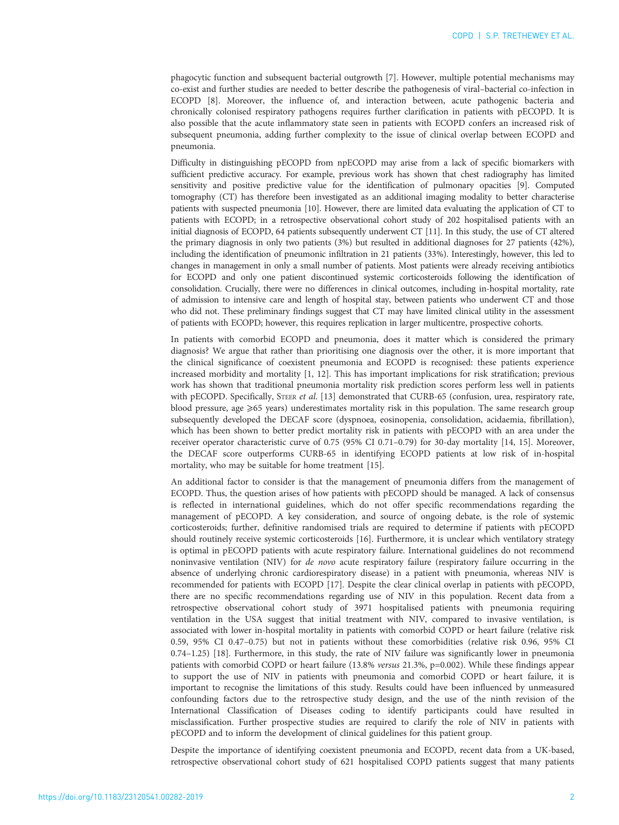phagocytic function and subsequent bacterial outgrowth [\[7](#page-2-0)]. However, multiple potential mechanisms may co-exist and further studies are needed to better describe the pathogenesis of viral–bacterial co-infection in ECOPD [[8](#page-2-0)]. Moreover, the influence of, and interaction between, acute pathogenic bacteria and chronically colonised respiratory pathogens requires further clarification in patients with pECOPD. It is also possible that the acute inflammatory state seen in patients with ECOPD confers an increased risk of subsequent pneumonia, adding further complexity to the issue of clinical overlap between ECOPD and pneumonia.

Difficulty in distinguishing pECOPD from npECOPD may arise from a lack of specific biomarkers with sufficient predictive accuracy. For example, previous work has shown that chest radiography has limited sensitivity and positive predictive value for the identification of pulmonary opacities [[9\]](#page-2-0). Computed tomography (CT) has therefore been investigated as an additional imaging modality to better characterise patients with suspected pneumonia [\[10](#page-2-0)]. However, there are limited data evaluating the application of CT to patients with ECOPD; in a retrospective observational cohort study of 202 hospitalised patients with an initial diagnosis of ECOPD, 64 patients subsequently underwent CT [\[11\]](#page-2-0). In this study, the use of CT altered the primary diagnosis in only two patients (3%) but resulted in additional diagnoses for 27 patients (42%), including the identification of pneumonic infiltration in 21 patients (33%). Interestingly, however, this led to changes in management in only a small number of patients. Most patients were already receiving antibiotics for ECOPD and only one patient discontinued systemic corticosteroids following the identification of consolidation. Crucially, there were no differences in clinical outcomes, including in-hospital mortality, rate of admission to intensive care and length of hospital stay, between patients who underwent CT and those who did not. These preliminary findings suggest that CT may have limited clinical utility in the assessment of patients with ECOPD; however, this requires replication in larger multicentre, prospective cohorts.

In patients with comorbid ECOPD and pneumonia, does it matter which is considered the primary diagnosis? We argue that rather than prioritising one diagnosis over the other, it is more important that the clinical significance of coexistent pneumonia and ECOPD is recognised: these patients experience increased morbidity and mortality [[1, 12\]](#page-2-0). This has important implications for risk stratification; previous work has shown that traditional pneumonia mortality risk prediction scores perform less well in patients with pECOPD. Specifically, STEER et al. [[13](#page-2-0)] demonstrated that CURB-65 (confusion, urea, respiratory rate, blood pressure, age  $\geqslant$ 65 years) underestimates mortality risk in this population. The same research group subsequently developed the DECAF score (dyspnoea, eosinopenia, consolidation, acidaemia, fibrillation), which has been shown to better predict mortality risk in patients with pECOPD with an area under the receiver operator characteristic curve of 0.75 (95% CI 0.71–0.79) for 30-day mortality [\[14](#page-3-0), [15\]](#page-3-0). Moreover, the DECAF score outperforms CURB-65 in identifying ECOPD patients at low risk of in-hospital mortality, who may be suitable for home treatment [\[15\]](#page-3-0).

An additional factor to consider is that the management of pneumonia differs from the management of ECOPD. Thus, the question arises of how patients with pECOPD should be managed. A lack of consensus is reflected in international guidelines, which do not offer specific recommendations regarding the management of pECOPD. A key consideration, and source of ongoing debate, is the role of systemic corticosteroids; further, definitive randomised trials are required to determine if patients with pECOPD should routinely receive systemic corticosteroids [[16](#page-3-0)]. Furthermore, it is unclear which ventilatory strategy is optimal in pECOPD patients with acute respiratory failure. International guidelines do not recommend noninvasive ventilation (NIV) for de novo acute respiratory failure (respiratory failure occurring in the absence of underlying chronic cardiorespiratory disease) in a patient with pneumonia, whereas NIV is recommended for patients with ECOPD [[17](#page-3-0)]. Despite the clear clinical overlap in patients with pECOPD, there are no specific recommendations regarding use of NIV in this population. Recent data from a retrospective observational cohort study of 3971 hospitalised patients with pneumonia requiring ventilation in the USA suggest that initial treatment with NIV, compared to invasive ventilation, is associated with lower in-hospital mortality in patients with comorbid COPD or heart failure (relative risk 0.59, 95% CI 0.47–0.75) but not in patients without these comorbidities (relative risk 0.96, 95% CI 0.74–1.25) [\[18\]](#page-3-0). Furthermore, in this study, the rate of NIV failure was significantly lower in pneumonia patients with comorbid COPD or heart failure (13.8% versus 21.3%, p=0.002). While these findings appear to support the use of NIV in patients with pneumonia and comorbid COPD or heart failure, it is important to recognise the limitations of this study. Results could have been influenced by unmeasured confounding factors due to the retrospective study design, and the use of the ninth revision of the International Classification of Diseases coding to identify participants could have resulted in misclassification. Further prospective studies are required to clarify the role of NIV in patients with pECOPD and to inform the development of clinical guidelines for this patient group.

Despite the importance of identifying coexistent pneumonia and ECOPD, recent data from a UK-based, retrospective observational cohort study of 621 hospitalised COPD patients suggest that many patients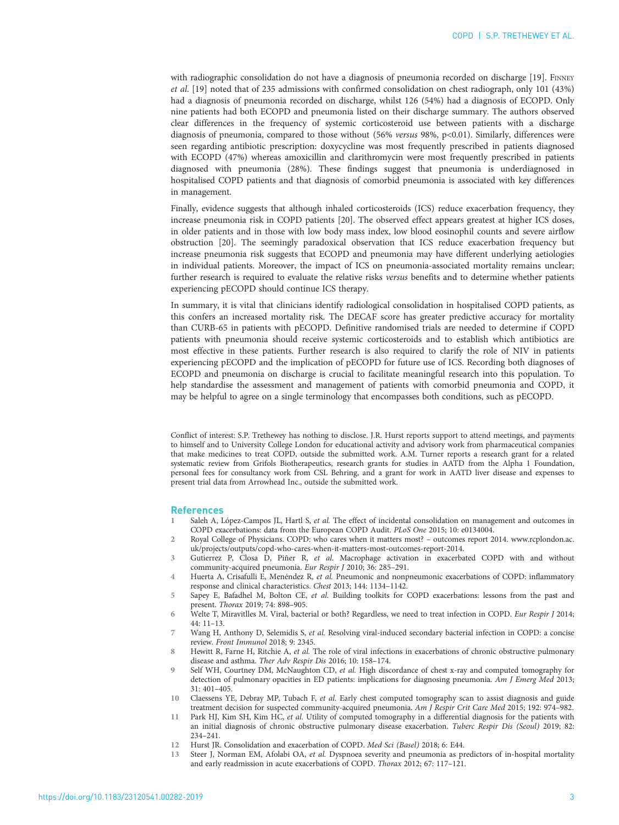<span id="page-2-0"></span>with radiographic consolidation do not have a diagnosis of pneumonia recorded on discharge [[19](#page-3-0)]. FINNEY et al. [[19](#page-3-0)] noted that of 235 admissions with confirmed consolidation on chest radiograph, only 101 (43%) had a diagnosis of pneumonia recorded on discharge, whilst 126 (54%) had a diagnosis of ECOPD. Only nine patients had both ECOPD and pneumonia listed on their discharge summary. The authors observed clear differences in the frequency of systemic corticosteroid use between patients with a discharge diagnosis of pneumonia, compared to those without (56% versus 98%, p<0.01). Similarly, differences were seen regarding antibiotic prescription: doxycycline was most frequently prescribed in patients diagnosed with ECOPD (47%) whereas amoxicillin and clarithromycin were most frequently prescribed in patients diagnosed with pneumonia (28%). These findings suggest that pneumonia is underdiagnosed in hospitalised COPD patients and that diagnosis of comorbid pneumonia is associated with key differences in management.

Finally, evidence suggests that although inhaled corticosteroids (ICS) reduce exacerbation frequency, they increase pneumonia risk in COPD patients [\[20\]](#page-3-0). The observed effect appears greatest at higher ICS doses, in older patients and in those with low body mass index, low blood eosinophil counts and severe airflow obstruction [\[20](#page-3-0)]. The seemingly paradoxical observation that ICS reduce exacerbation frequency but increase pneumonia risk suggests that ECOPD and pneumonia may have different underlying aetiologies in individual patients. Moreover, the impact of ICS on pneumonia-associated mortality remains unclear; further research is required to evaluate the relative risks versus benefits and to determine whether patients experiencing pECOPD should continue ICS therapy.

In summary, it is vital that clinicians identify radiological consolidation in hospitalised COPD patients, as this confers an increased mortality risk. The DECAF score has greater predictive accuracy for mortality than CURB-65 in patients with pECOPD. Definitive randomised trials are needed to determine if COPD patients with pneumonia should receive systemic corticosteroids and to establish which antibiotics are most effective in these patients. Further research is also required to clarify the role of NIV in patients experiencing pECOPD and the implication of pECOPD for future use of ICS. Recording both diagnoses of ECOPD and pneumonia on discharge is crucial to facilitate meaningful research into this population. To help standardise the assessment and management of patients with comorbid pneumonia and COPD, it may be helpful to agree on a single terminology that encompasses both conditions, such as pECOPD.

Conflict of interest: S.P. Trethewey has nothing to disclose. J.R. Hurst reports support to attend meetings, and payments to himself and to University College London for educational activity and advisory work from pharmaceutical companies that make medicines to treat COPD, outside the submitted work. A.M. Turner reports a research grant for a related systematic review from Grifols Biotherapeutics, research grants for studies in AATD from the Alpha 1 Foundation, personal fees for consultancy work from CSL Behring, and a grant for work in AATD liver disease and expenses to present trial data from Arrowhead Inc., outside the submitted work.

## References

- 1 Saleh A, López-Campos JL, Hartl S, et al. The effect of incidental consolidation on management and outcomes in COPD exacerbations: data from the European COPD Audit. PLoS One 2015; 10: e0134004.
- 2 Royal College of Physicians. COPD: who cares when it matters most? outcomes report 2014. [www.rcplondon.ac.](http://www.rcplondon.ac.uk/projects/outputs/copd-who-cares-when-it-matters-most-outcomes-report-2014) [uk/projects/outputs/copd-who-cares-when-it-matters-most-outcomes-report-2014](http://www.rcplondon.ac.uk/projects/outputs/copd-who-cares-when-it-matters-most-outcomes-report-2014).
- Gutierrez P, Closa D, Piñer R, et al. Macrophage activation in exacerbated COPD with and without community-acquired pneumonia. Eur Respir J 2010; 36: 285–291.
- 4 Huerta A, Crisafulli E, Menéndez R, et al. Pneumonic and nonpneumonic exacerbations of COPD: inflammatory response and clinical characteristics. Chest 2013; 144: 1134–1142.
- 5 Sapey E, Bafadhel M, Bolton CE, et al. Building toolkits for COPD exacerbations: lessons from the past and present. Thorax 2019; 74: 898–905.
- 6 Welte T, Miravitlles M. Viral, bacterial or both? Regardless, we need to treat infection in COPD. Eur Respir J 2014; 44: 11–13.
- Wang H, Anthony D, Selemidis S, et al. Resolving viral-induced secondary bacterial infection in COPD: a concise review. Front Immunol 2018; 9: 2345.
- 8 Hewitt R, Farne H, Ritchie A, et al. The role of viral infections in exacerbations of chronic obstructive pulmonary disease and asthma. Ther Adv Respir Dis 2016; 10: 158–174.
- Self WH, Courtney DM, McNaughton CD, et al. High discordance of chest x-ray and computed tomography for detection of pulmonary opacities in ED patients: implications for diagnosing pneumonia. Am J Emerg Med 2013; 31: 401–405.
- 10 Claessens YE, Debray MP, Tubach F, et al. Early chest computed tomography scan to assist diagnosis and guide treatment decision for suspected community-acquired pneumonia. Am J Respir Crit Care Med 2015; 192: 974–982.
- 11 Park HJ, Kim SH, Kim HC, et al. Utility of computed tomography in a differential diagnosis for the patients with an initial diagnosis of chronic obstructive pulmonary disease exacerbation. Tuberc Respir Dis (Seoul) 2019; 82: 234–241.
- 12 Hurst JR. Consolidation and exacerbation of COPD. Med Sci (Basel) 2018; 6: E44.
- 13 Steer J, Norman EM, Afolabi OA, et al. Dyspnoea severity and pneumonia as predictors of in-hospital mortality and early readmission in acute exacerbations of COPD. Thorax 2012; 67: 117–121.